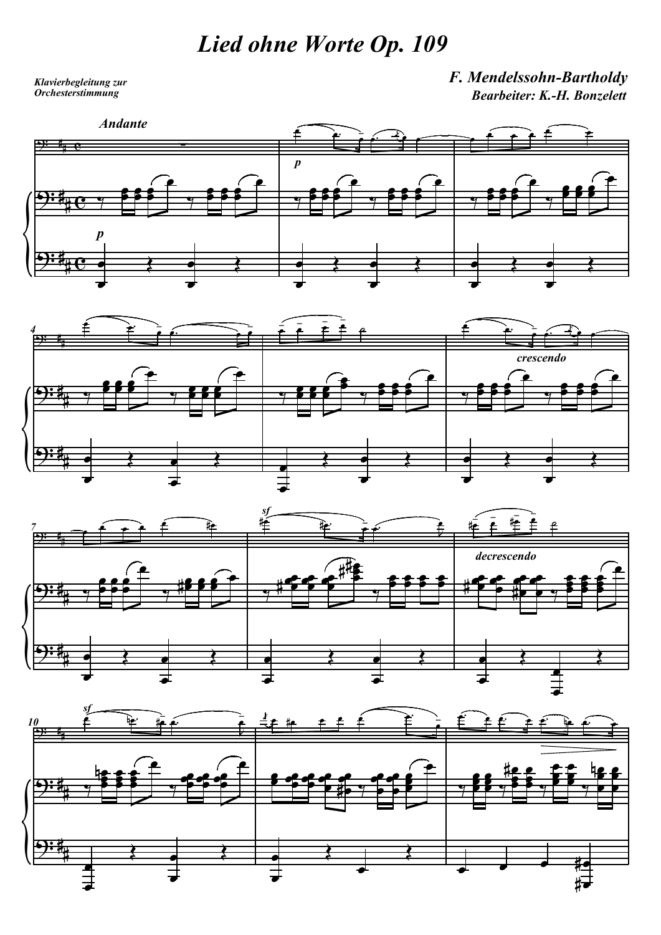## Lied ohne Worte Op. 109

Klavierbegleitung zur

F. Mendelssohn-Bartholdy Bearbeiter: K.-H. Bonzelett







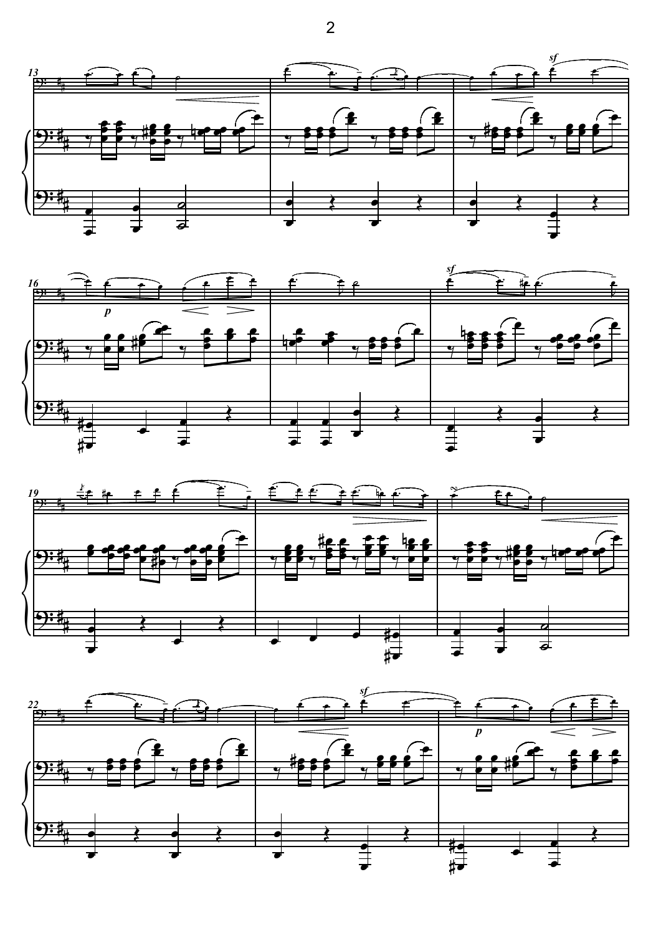





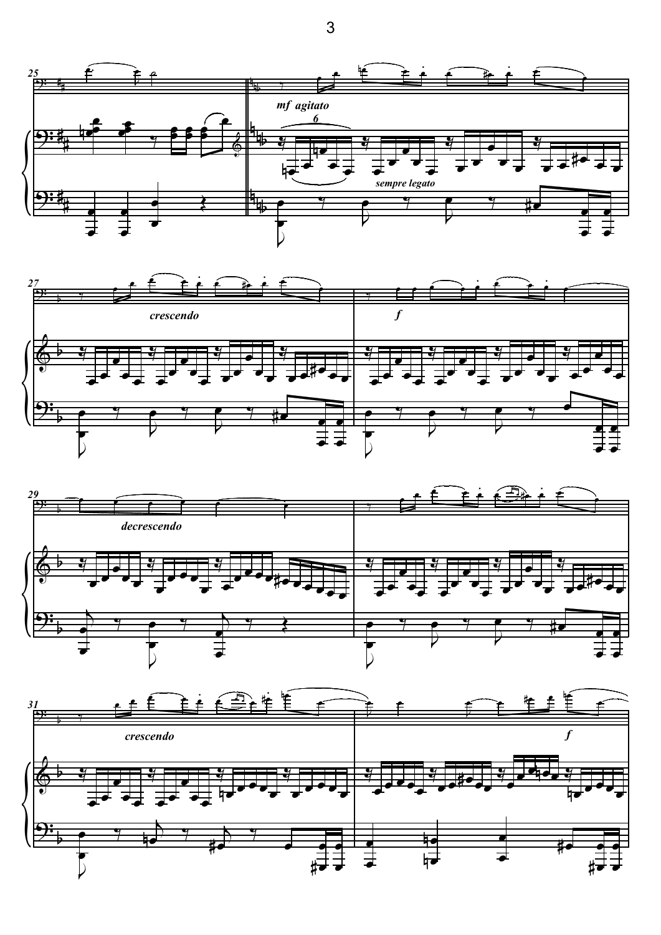





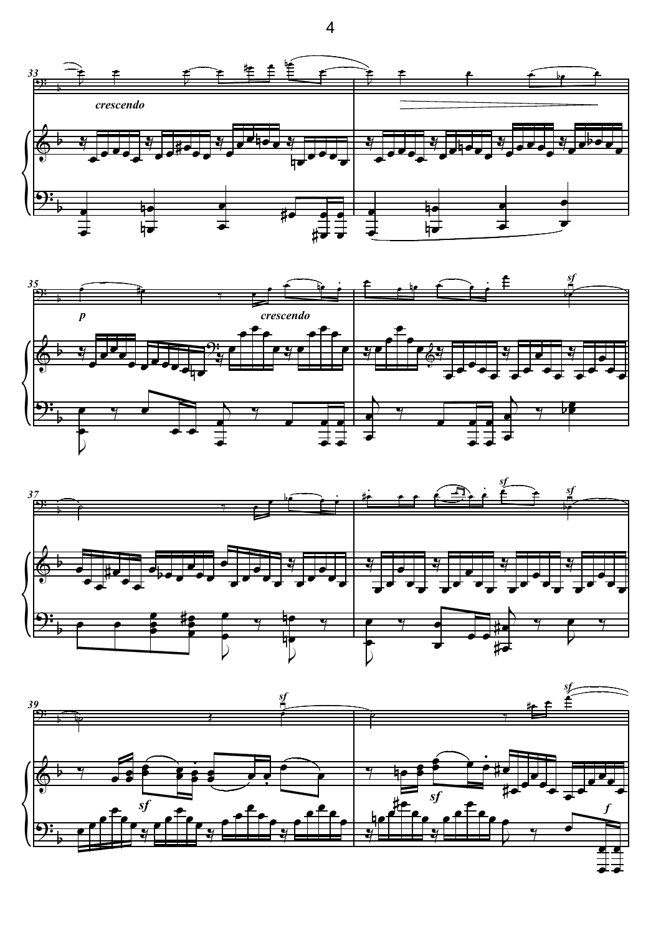





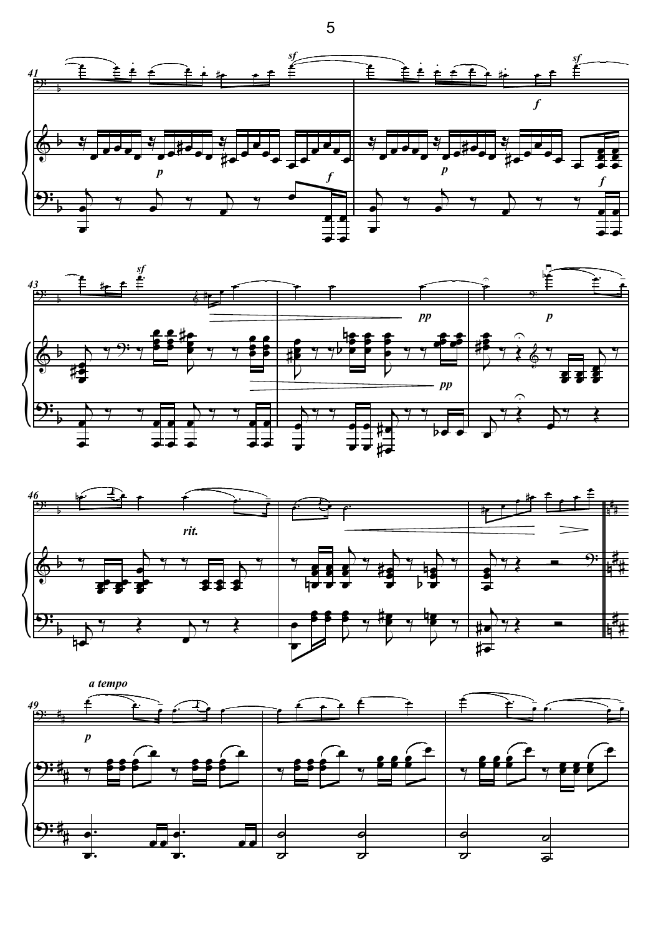





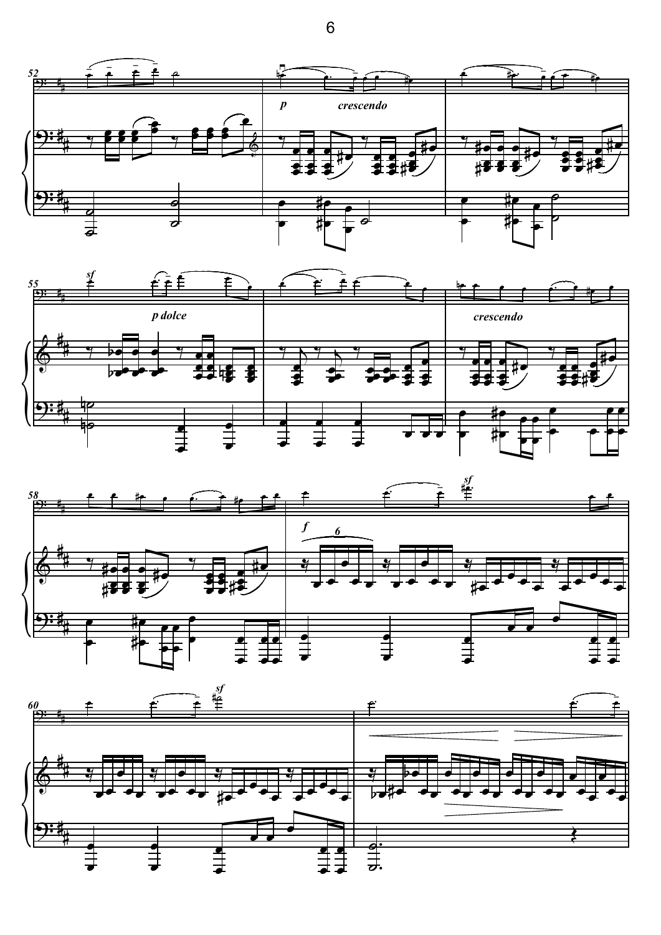







6